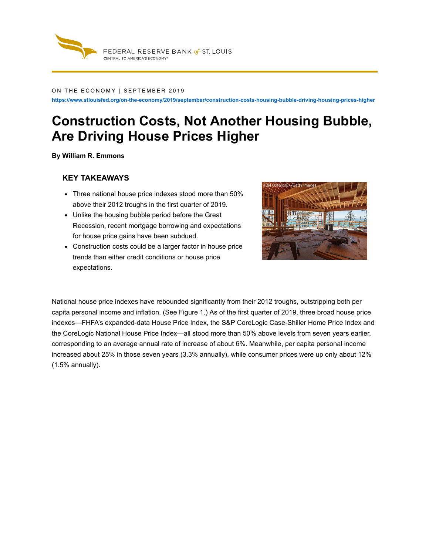

#### ON THE ECONOMY | SEPTEMBER 2019

**https://www.stlouisfed.org/on-the-economy/2019/september/construction-costs-housing-bubble-driving-housing-prices-higher**

# **Construction Costs, Not Another Housing Bubble, Are Driving House Prices Higher**

**By William R. Emmons**

### **KEY TAKEAWAYS**

- Three national house price indexes stood more than 50% above their 2012 troughs in the first quarter of 2019.
- Unlike the housing bubble period before the Great Recession, recent mortgage borrowing and expectations for house price gains have been subdued.
- Construction costs could be a larger factor in house price trends than either credit conditions or house price expectations.



National house price indexes have rebounded significantly from their 2012 troughs, outstripping both per capita personal income and inflation. (See Figure 1.) As of the first quarter of 2019, three broad house price indexes—FHFA's expanded-data House Price Index, the S&P CoreLogic Case-Shiller Home Price Index and the CoreLogic National House Price Index—all stood more than 50% above levels from seven years earlier, corresponding to an average annual rate of increase of about 6%. Meanwhile, per capita personal income increased about 25% in those seven years (3.3% annually), while consumer prices were up only about 12% (1.5% annually).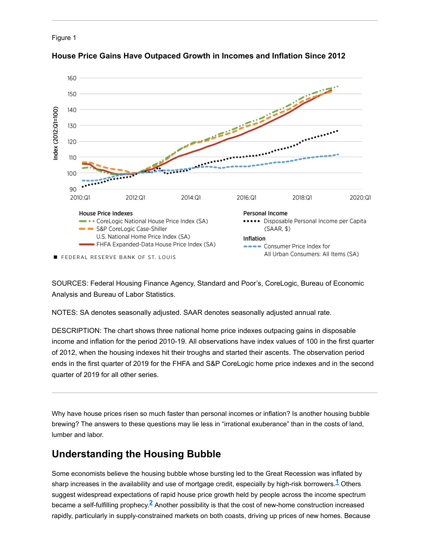



### **House Price Gains Have Outpaced Growth in Incomes and Inflation Since 2012**

SOURCES: Federal Housing Finance Agency, Standard and Poor's, CoreLogic, Bureau of Economic Analysis and Bureau of Labor Statistics.

NOTES: SA denotes seasonally adjusted. SAAR denotes seasonally adjusted annual rate.

DESCRIPTION: The chart shows three national home price indexes outpacing gains in disposable income and inflation for the period 2010-19. All observations have index values of 100 in the first quarter of 2012, when the housing indexes hit their troughs and started their ascents. The observation period ends in the first quarter of 2019 for the FHFA and S&P CoreLogic home price indexes and in the second quarter of 2019 for all other series.

Why have house prices risen so much faster than personal incomes or inflation? Is another housing bubble brewing? The answers to these questions may lie less in "irrational exuberance" than in the costs of land, lumber and labor.

# **Understanding the Housing Bubble**

Some economists believe the housing bubble whose bursting led to the Great Recession was inflated by sharp increases in the availability and use of mortgage credit, especially by high-risk borrowers. $^\mathbf{1}$  Others suggest widespread expectations of rapid house price growth held by people across the income spectrum became a self-fulfilling prophecy. $^{2}$  Another possibility is that the cost of new-home construction increased rapidly, particularly in supply-constrained markets on both coasts, driving up prices of new homes. Because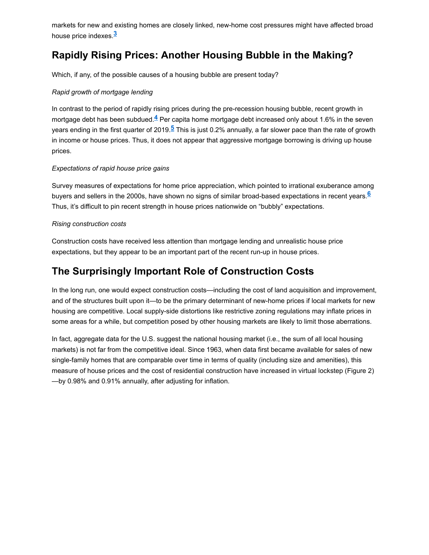markets for new and existing homes are closely linked, new-home cost pressures might have affected broad house price indexes. **3**

# **Rapidly Rising Prices: Another Housing Bubble in the Making?**

Which, if any, of the possible causes of a housing bubble are present today?

### *Rapid growth of mortgage lending*

In contrast to the period of rapidly rising prices during the pre-recession housing bubble, recent growth in mortgage debt has been subdued. $\frac{4}{5}$  Per capita home mortgage debt increased only about 1.6% in the seven years ending in the first quarter of 2019.<sup><u>5</u> This is just 0.2% annually, a far slower pace than the rate of growth</sup> in income or house prices. Thus, it does not appear that aggressive mortgage borrowing is driving up house prices.

### *Expectations of rapid house price gains*

Survey measures of expectations for home price appreciation, which pointed to irrational exuberance among buyers and sellers in the 2000s, have shown no signs of similar broad-based expectations in recent years. **6**Thus, it's difficult to pin recent strength in house prices nationwide on "bubbly" expectations.

### *Rising construction costs*

Construction costs have received less attention than mortgage lending and unrealistic house price expectations, but they appear to be an important part of the recent run-up in house prices.

# **The Surprisingly Important Role of Construction Costs**

In the long run, one would expect construction costs—including the cost of land acquisition and improvement, and of the structures built upon it—to be the primary determinant of new-home prices if local markets for new housing are competitive. Local supply-side distortions like restrictive zoning regulations may inflate prices in some areas for a while, but competition posed by other housing markets are likely to limit those aberrations.

In fact, aggregate data for the U.S. suggest the national housing market (i.e., the sum of all local housing markets) is not far from the competitive ideal. Since 1963, when data first became available for sales of new single-family homes that are comparable over time in terms of quality (including size and amenities), this measure of house prices and the cost of residential construction have increased in virtual lockstep (Figure 2) —by 0.98% and 0.91% annually, after adjusting for inflation.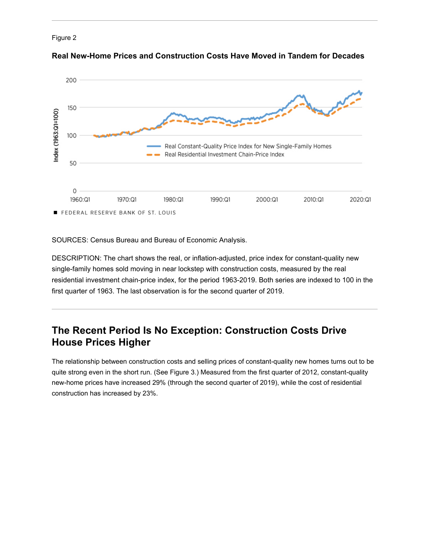



**Real New-Home Prices and Construction Costs Have Moved in Tandem for Decades**

SOURCES: Census Bureau and Bureau of Economic Analysis.

DESCRIPTION: The chart shows the real, or inflation-adjusted, price index for constant-quality new single-family homes sold moving in near lockstep with construction costs, measured by the real residential investment chain-price index, for the period 1963-2019. Both series are indexed to 100 in the first quarter of 1963. The last observation is for the second quarter of 2019.

## **The Recent Period Is No Exception: Construction Costs Drive House Prices Higher**

The relationship between construction costs and selling prices of constant-quality new homes turns out to be quite strong even in the short run. (See Figure 3.) Measured from the first quarter of 2012, constant-quality new-home prices have increased 29% (through the second quarter of 2019), while the cost of residential construction has increased by 23%.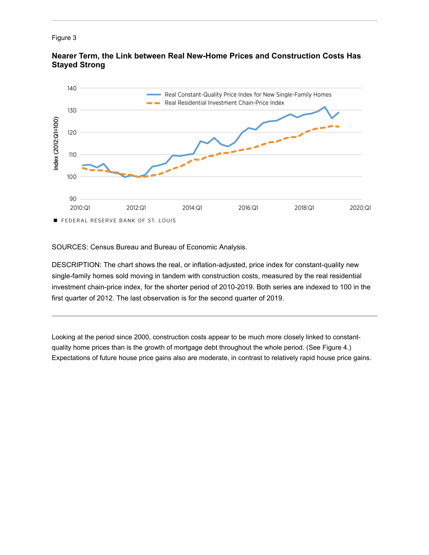#### Figure 3



**Nearer Term, the Link between Real New-Home Prices and Construction Costs Has Stayed Strong**

SOURCES: Census Bureau and Bureau of Economic Analysis.

DESCRIPTION: The chart shows the real, or inflation-adjusted, price index for constant-quality new single-family homes sold moving in tandem with construction costs, measured by the real residential investment chain-price index, for the shorter period of 2010-2019. Both series are indexed to 100 in the first quarter of 2012. The last observation is for the second quarter of 2019.

Looking at the period since 2000, construction costs appear to be much more closely linked to constantquality home prices than is the growth of mortgage debt throughout the whole period. (See Figure 4.) Expectations of future house price gains also are moderate, in contrast to relatively rapid house price gains.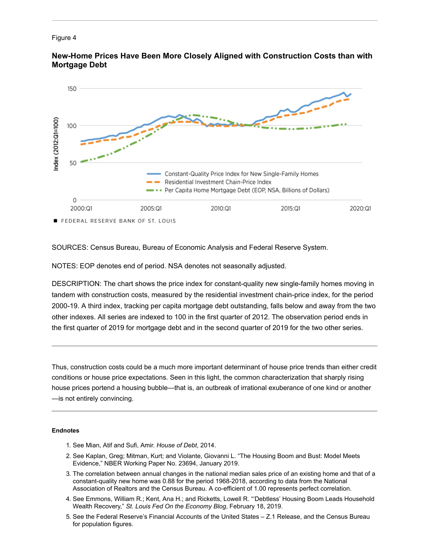#### Figure 4



**New-Home Prices Have Been More Closely Aligned with Construction Costs than with Mortgage Debt**

SOURCES: Census Bureau, Bureau of Economic Analysis and Federal Reserve System.

NOTES: EOP denotes end of period. NSA denotes not seasonally adjusted.

DESCRIPTION: The chart shows the price index for constant-quality new single-family homes moving in tandem with construction costs, measured by the residential investment chain-price index, for the period 2000-19. A third index, tracking per capita mortgage debt outstanding, falls below and away from the two other indexes. All series are indexed to 100 in the first quarter of 2012. The observation period ends in the first quarter of 2019 for mortgage debt and in the second quarter of 2019 for the two other series.

Thus, construction costs could be a much more important determinant of house price trends than either credit conditions or house price expectations. Seen in this light, the common characterization that sharply rising house prices portend a housing bubble—that is, an outbreak of irrational exuberance of one kind or another —is not entirely convincing.

#### **Endnotes**

- 1. See Mian, Atif and Sufi, Amir. *[House of Debt](https://houseofdebt.org/about-us/)*, 2014.
- 2. See Kaplan, Greg; Mitman, Kurt; and Violante, Giovanni L. "The Housing Boom and Bust: Model Meets Evidence," NBER Working Paper No. 23694, January 2019.
- 3. The correlation between annual changes in the national median sales price of an existing home and that of a constant-quality new home was 0.88 for the period 1968-2018, according to data from the National Association of Realtors and the Census Bureau. A co-efficient of 1.00 represents perfect correlation.
- 4. [See Emmons, William R.; Kent, Ana H.; and Ricketts, Lowell R. "'Debtless' Housing Boom Leads Household](https://www.stlouisfed.org/on-the-economy/2019/february/debtless-housing-boom-leads-household-wealth-recovery) Wealth Recovery," *St. Louis Fed On the Economy Blog*, February 18, 2019.
- 5. See the Federal Reserve's [Financial Accounts of the United States Z.1 Release,](https://www.federalreserve.gov/releases/z1/) and the Census Bureau [for population figures](https://www.census.gov/topics/population.html).